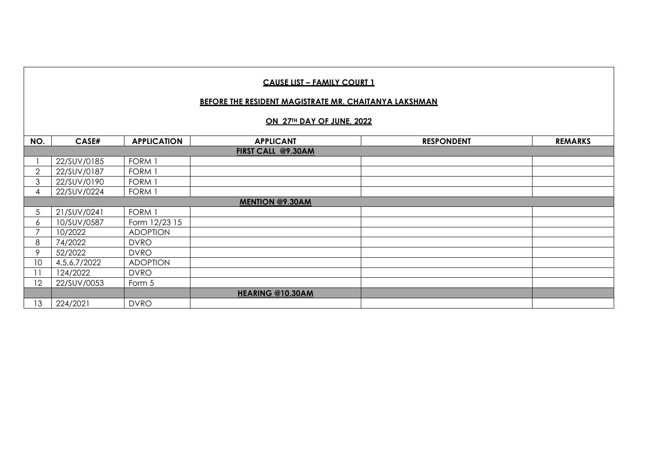#### **BEFORE THE RESIDENT MAGISTRATE MR. CHAITANYA LAKSHMAN**

#### **ON 27TH DAY OF JUNE, 2022**

| NO.            | CASE#        | <b>APPLICATION</b> | <b>APPLICANT</b>       | <b>RESPONDENT</b> | <b>REMARKS</b> |
|----------------|--------------|--------------------|------------------------|-------------------|----------------|
|                |              |                    | FIRST CALL @9.30AM     |                   |                |
|                | 22/SUV/0185  | FORM 1             |                        |                   |                |
| $\overline{2}$ | 22/SUV/0187  | FORM 1             |                        |                   |                |
| 3              | 22/SUV/0190  | FORM 1             |                        |                   |                |
| 4              | 22/SUV/0224  | FORM 1             |                        |                   |                |
|                |              |                    | <b>MENTION @9.30AM</b> |                   |                |
| 5              | 21/SUV/0241  | FORM 1             |                        |                   |                |
| 6              | 10/SUV/0587  | Form 12/23 15      |                        |                   |                |
|                | 10/2022      | <b>ADOPTION</b>    |                        |                   |                |
| 8              | 74/2022      | <b>DVRO</b>        |                        |                   |                |
| 9              | 52/2022      | <b>DVRO</b>        |                        |                   |                |
| 10             | 4,5,6,7/2022 | <b>ADOPTION</b>    |                        |                   |                |
| 11             | 124/2022     | <b>DVRO</b>        |                        |                   |                |
| 12             | 22/SUV/0053  | Form 5             |                        |                   |                |
|                |              |                    | HEARING @10.30AM       |                   |                |
| 13             | 224/2021     | <b>DVRO</b>        |                        |                   |                |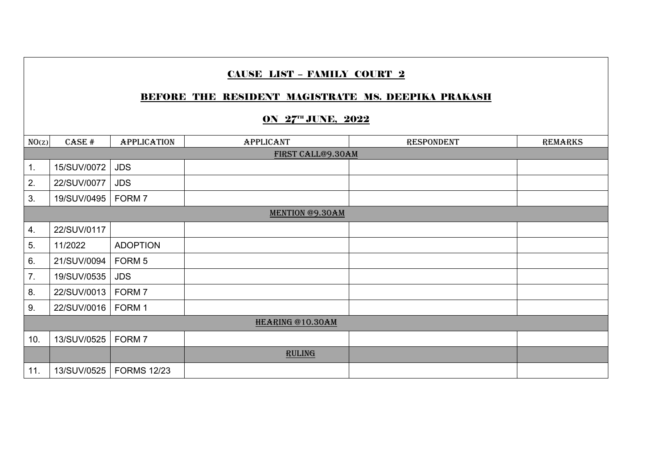# BEFORE THE RESIDENT MAGISTRATE MS. DEEPIKA PRAKASH

## ON 27" JUNE, 2022

| NO(z) | CASE #            | <b>APPLICATION</b> | <b>APPLICANT</b>       | <b>RESPONDENT</b> | <b>REMARKS</b> |  |  |  |
|-------|-------------------|--------------------|------------------------|-------------------|----------------|--|--|--|
|       | FIRST CALL@9.30AM |                    |                        |                   |                |  |  |  |
| 1.    | 15/SUV/0072       | <b>JDS</b>         |                        |                   |                |  |  |  |
| 2.    | 22/SUV/0077       | <b>JDS</b>         |                        |                   |                |  |  |  |
| 3.    | 19/SUV/0495       | FORM 7             |                        |                   |                |  |  |  |
|       |                   |                    | <b>MENTION @9.30AM</b> |                   |                |  |  |  |
| 4.    | 22/SUV/0117       |                    |                        |                   |                |  |  |  |
| 5.    | 11/2022           | <b>ADOPTION</b>    |                        |                   |                |  |  |  |
| 6.    | 21/SUV/0094       | FORM 5             |                        |                   |                |  |  |  |
| 7.    | 19/SUV/0535       | <b>JDS</b>         |                        |                   |                |  |  |  |
| 8.    | 22/SUV/0013       | FORM 7             |                        |                   |                |  |  |  |
| 9.    | 22/SUV/0016       | FORM 1             |                        |                   |                |  |  |  |
|       |                   |                    | HEARING @10.30AM       |                   |                |  |  |  |
| 10.   | 13/SUV/0525       | FORM <sub>7</sub>  |                        |                   |                |  |  |  |
|       |                   |                    | <b>RULING</b>          |                   |                |  |  |  |
| 11.   | 13/SUV/0525       | <b>FORMS 12/23</b> |                        |                   |                |  |  |  |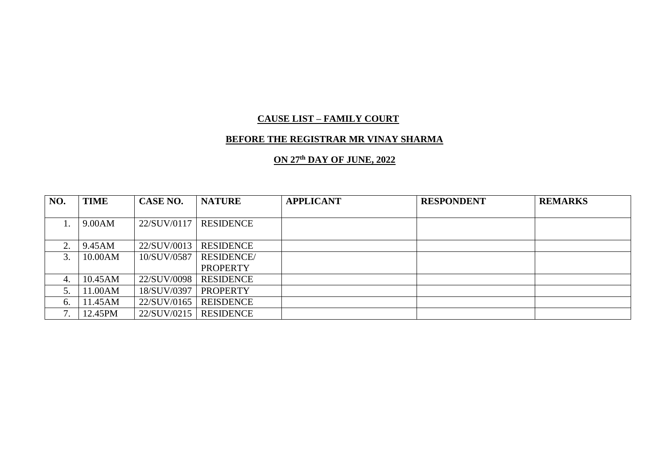### **BEFORE THE REGISTRAR MR VINAY SHARMA**

### **ON 27th DAY OF JUNE, 2022**

| NO. | <b>TIME</b> | CASE NO.    | <b>NATURE</b>     | <b>APPLICANT</b> | <b>RESPONDENT</b> | <b>REMARKS</b> |
|-----|-------------|-------------|-------------------|------------------|-------------------|----------------|
|     |             |             |                   |                  |                   |                |
|     | 9.00AM      | 22/SUV/0117 | <b>RESIDENCE</b>  |                  |                   |                |
|     |             |             |                   |                  |                   |                |
| ↑   | 9.45AM      | 22/SUV/0013 | <b>RESIDENCE</b>  |                  |                   |                |
| 3.  | 10.00AM     | 10/SUV/0587 | <b>RESIDENCE/</b> |                  |                   |                |
|     |             |             | <b>PROPERTY</b>   |                  |                   |                |
| 4.  | 10.45AM     | 22/SUV/0098 | <b>RESIDENCE</b>  |                  |                   |                |
|     | 11.00AM     | 18/SUV/0397 | <b>PROPERTY</b>   |                  |                   |                |
| 6.  | 11.45AM     | 22/SUV/0165 | <b>REISDENCE</b>  |                  |                   |                |
| −   | 12.45PM     | 22/SUV/0215 | <b>RESIDENCE</b>  |                  |                   |                |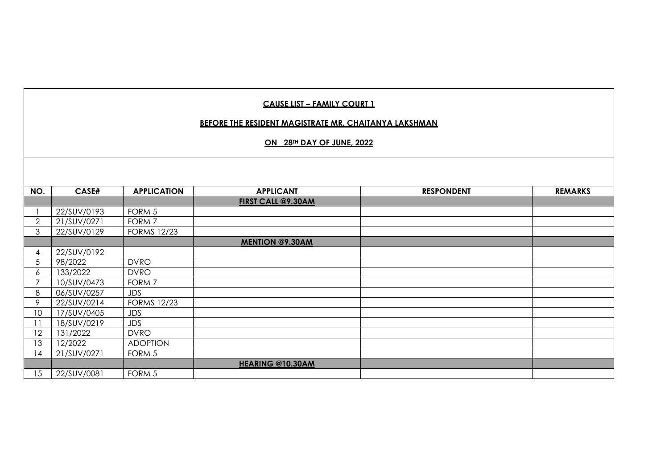#### **BEFORE THE RESIDENT MAGISTRATE MR. CHAITANYA LAKSHMAN**

#### **ON 28TH DAY OF JUNE, 2022**

| NO.            | CASE#       | <b>APPLICATION</b> | <b>APPLICANT</b>        | <b>RESPONDENT</b> | <b>REMARKS</b> |
|----------------|-------------|--------------------|-------------------------|-------------------|----------------|
|                |             |                    | FIRST CALL @9.30AM      |                   |                |
|                | 22/SUV/0193 | FORM 5             |                         |                   |                |
| $\overline{2}$ | 21/SUV/0271 | FORM 7             |                         |                   |                |
| 3              | 22/SUV/0129 | <b>FORMS 12/23</b> |                         |                   |                |
|                |             |                    | <b>MENTION @9.30AM</b>  |                   |                |
| 4              | 22/SUV/0192 |                    |                         |                   |                |
| 5              | 98/2022     | <b>DVRO</b>        |                         |                   |                |
| 6              | 133/2022    | <b>DVRO</b>        |                         |                   |                |
| $\overline{7}$ | 10/SUV/0473 | FORM 7             |                         |                   |                |
| 8              | 06/SUV/0257 | <b>JDS</b>         |                         |                   |                |
| 9              | 22/SUV/0214 | <b>FORMS 12/23</b> |                         |                   |                |
| 10             | 17/SUV/0405 | JDS                |                         |                   |                |
| 11             | 18/SUV/0219 | JDS                |                         |                   |                |
| 12             | 131/2022    | <b>DVRO</b>        |                         |                   |                |
| 13             | 12/2022     | <b>ADOPTION</b>    |                         |                   |                |
| 14             | 21/SUV/0271 | FORM 5             |                         |                   |                |
|                |             |                    | <b>HEARING @10.30AM</b> |                   |                |
| 15             | 22/SUV/0081 | FORM 5             |                         |                   |                |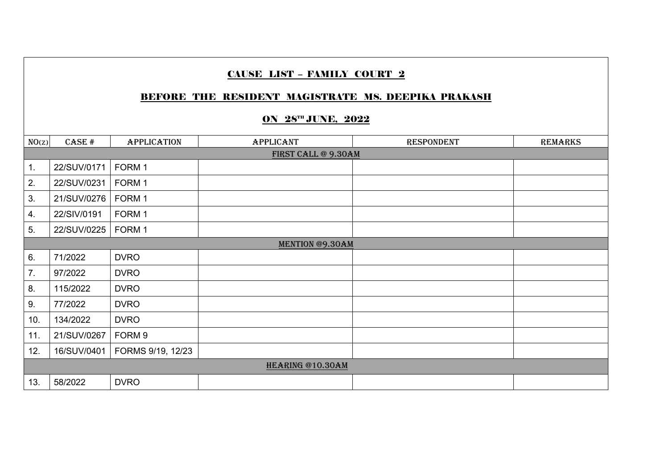# BEFORE THE RESIDENT MAGISTRATE MS. DEEPIKA PRAKASH

## **ON 28TH JUNE, 2022**

| NO(z) | CASE #              | <b>APPLICATION</b> | <b>APPLICANT</b>       | <b>RESPONDENT</b> | <b>REMARKS</b> |  |  |  |
|-------|---------------------|--------------------|------------------------|-------------------|----------------|--|--|--|
|       | FIRST CALL @ 9.30AM |                    |                        |                   |                |  |  |  |
| 1.    | 22/SUV/0171         | FORM 1             |                        |                   |                |  |  |  |
| 2.    | 22/SUV/0231         | FORM 1             |                        |                   |                |  |  |  |
| 3.    | 21/SUV/0276         | FORM 1             |                        |                   |                |  |  |  |
| 4.    | 22/SIV/0191         | FORM 1             |                        |                   |                |  |  |  |
| 5.    | 22/SUV/0225         | FORM 1             |                        |                   |                |  |  |  |
|       |                     |                    | <b>MENTION @9.30AM</b> |                   |                |  |  |  |
| 6.    | 71/2022             | <b>DVRO</b>        |                        |                   |                |  |  |  |
| 7.    | 97/2022             | <b>DVRO</b>        |                        |                   |                |  |  |  |
| 8.    | 115/2022            | <b>DVRO</b>        |                        |                   |                |  |  |  |
| 9.    | 77/2022             | <b>DVRO</b>        |                        |                   |                |  |  |  |
| 10.   | 134/2022            | <b>DVRO</b>        |                        |                   |                |  |  |  |
| 11.   | 21/SUV/0267         | FORM 9             |                        |                   |                |  |  |  |
| 12.   | 16/SUV/0401         | FORMS 9/19, 12/23  |                        |                   |                |  |  |  |
|       |                     |                    | HEARING @10.30AM       |                   |                |  |  |  |
| 13.   | 58/2022             | <b>DVRO</b>        |                        |                   |                |  |  |  |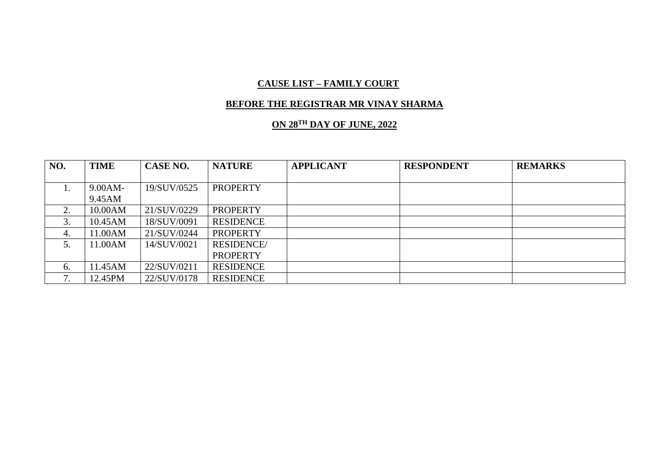#### **BEFORE THE REGISTRAR MR VINAY SHARMA**

# **ON 28TH DAY OF JUNE, 2022**

| NO.           | TIME       | CASE NO.    | <b>NATURE</b>     | <b>APPLICANT</b> | <b>RESPONDENT</b> | <b>REMARKS</b> |
|---------------|------------|-------------|-------------------|------------------|-------------------|----------------|
|               |            |             |                   |                  |                   |                |
| 1.            | $9.00AM -$ | 19/SUV/0525 | <b>PROPERTY</b>   |                  |                   |                |
|               | 9.45AM     |             |                   |                  |                   |                |
| 2.            | 10.00AM    | 21/SUV/0229 | <b>PROPERTY</b>   |                  |                   |                |
| 3.            | 10.45AM    | 18/SUV/0091 | <b>RESIDENCE</b>  |                  |                   |                |
| 4.            | 1.00AM     | 21/SUV/0244 | <b>PROPERTY</b>   |                  |                   |                |
|               | 1.00AM     | 14/SUV/0021 | <b>RESIDENCE/</b> |                  |                   |                |
|               |            |             | <b>PROPERTY</b>   |                  |                   |                |
| 6.            | 1.45AM     | 22/SUV/0211 | <b>RESIDENCE</b>  |                  |                   |                |
| $\mathcal{I}$ | 12.45PM    | 22/SUV/0178 | <b>RESIDENCE</b>  |                  |                   |                |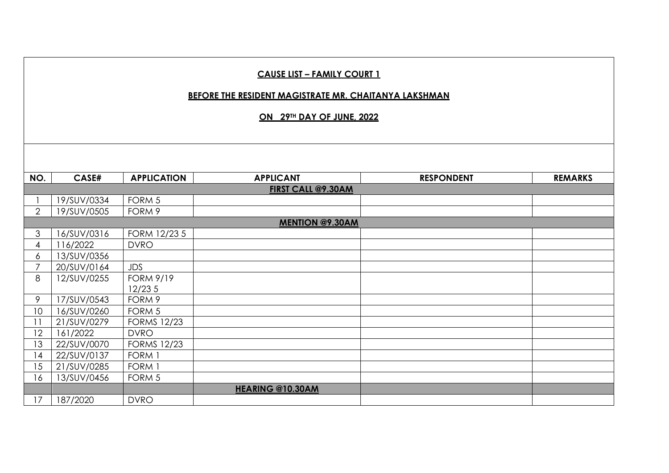|                | <b>CAUSE LIST - FAMILY COURT 1</b><br><b>BEFORE THE RESIDENT MAGISTRATE MR. CHAITANYA LAKSHMAN</b><br>ON 29TH DAY OF JUNE, 2022 |                    |                                        |                   |                |  |  |  |
|----------------|---------------------------------------------------------------------------------------------------------------------------------|--------------------|----------------------------------------|-------------------|----------------|--|--|--|
|                |                                                                                                                                 |                    |                                        |                   |                |  |  |  |
| NO.            | CASE#                                                                                                                           | <b>APPLICATION</b> | <b>APPLICANT</b><br>FIRST CALL @9.30AM | <b>RESPONDENT</b> | <b>REMARKS</b> |  |  |  |
|                | 19/SUV/0334                                                                                                                     | FORM <sub>5</sub>  |                                        |                   |                |  |  |  |
| $\overline{2}$ | 19/SUV/0505                                                                                                                     | FORM 9             |                                        |                   |                |  |  |  |
|                |                                                                                                                                 |                    | <b>MENTION @9.30AM</b>                 |                   |                |  |  |  |
| 3              | 16/SUV/0316                                                                                                                     | FORM 12/23 5       |                                        |                   |                |  |  |  |
| $\overline{4}$ | 116/2022                                                                                                                        | <b>DVRO</b>        |                                        |                   |                |  |  |  |
| 6              | 13/SUV/0356                                                                                                                     |                    |                                        |                   |                |  |  |  |
| $\overline{7}$ | 20/SUV/0164                                                                                                                     | <b>JDS</b>         |                                        |                   |                |  |  |  |
| 8              | 12/SUV/0255                                                                                                                     | <b>FORM 9/19</b>   |                                        |                   |                |  |  |  |
|                |                                                                                                                                 | 12/235             |                                        |                   |                |  |  |  |
| 9              | 17/SUV/0543                                                                                                                     | FORM 9             |                                        |                   |                |  |  |  |
| 10             | 16/SUV/0260                                                                                                                     | FORM 5             |                                        |                   |                |  |  |  |
| 11             | 21/SUV/0279                                                                                                                     | <b>FORMS 12/23</b> |                                        |                   |                |  |  |  |
| 12             | 161/2022                                                                                                                        | <b>DVRO</b>        |                                        |                   |                |  |  |  |
| 13             | 22/SUV/0070                                                                                                                     | <b>FORMS 12/23</b> |                                        |                   |                |  |  |  |
| 14             | 22/SUV/0137                                                                                                                     | FORM 1             |                                        |                   |                |  |  |  |
| 15             | 21/SUV/0285                                                                                                                     | FORM 1             |                                        |                   |                |  |  |  |
| 16             | 13/SUV/0456                                                                                                                     | FORM <sub>5</sub>  |                                        |                   |                |  |  |  |
|                |                                                                                                                                 |                    | HEARING @10.30AM                       |                   |                |  |  |  |
| 17             | 187/2020                                                                                                                        | <b>DVRO</b>        |                                        |                   |                |  |  |  |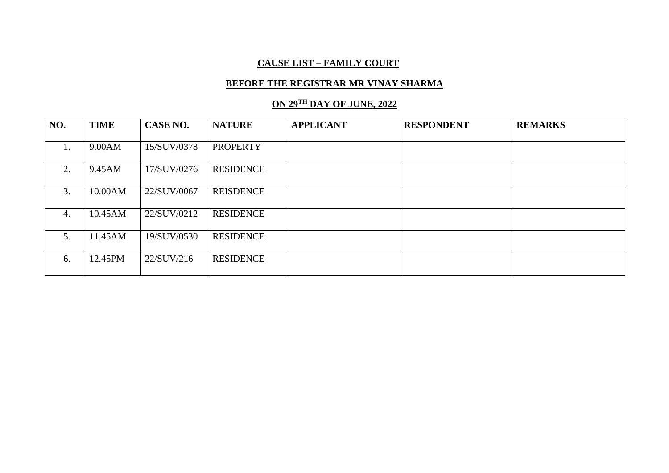#### **BEFORE THE REGISTRAR MR VINAY SHARMA**

# **ON 29TH DAY OF JUNE, 2022**

| NO. | <b>TIME</b> | CASE NO.    | <b>NATURE</b>    | <b>APPLICANT</b> | <b>RESPONDENT</b> | <b>REMARKS</b> |
|-----|-------------|-------------|------------------|------------------|-------------------|----------------|
|     |             |             |                  |                  |                   |                |
| 1.  | 9.00AM      | 15/SUV/0378 | <b>PROPERTY</b>  |                  |                   |                |
|     |             |             |                  |                  |                   |                |
| 2.  | 9.45AM      | 17/SUV/0276 | <b>RESIDENCE</b> |                  |                   |                |
|     |             |             |                  |                  |                   |                |
| 3.  | 10.00AM     | 22/SUV/0067 | <b>REISDENCE</b> |                  |                   |                |
|     |             |             |                  |                  |                   |                |
| 4.  | 10.45AM     | 22/SUV/0212 | <b>RESIDENCE</b> |                  |                   |                |
|     |             |             |                  |                  |                   |                |
| 5.  | 11.45AM     | 19/SUV/0530 | <b>RESIDENCE</b> |                  |                   |                |
|     |             |             |                  |                  |                   |                |
| 6.  | 12.45PM     | 22/SUV/216  | <b>RESIDENCE</b> |                  |                   |                |
|     |             |             |                  |                  |                   |                |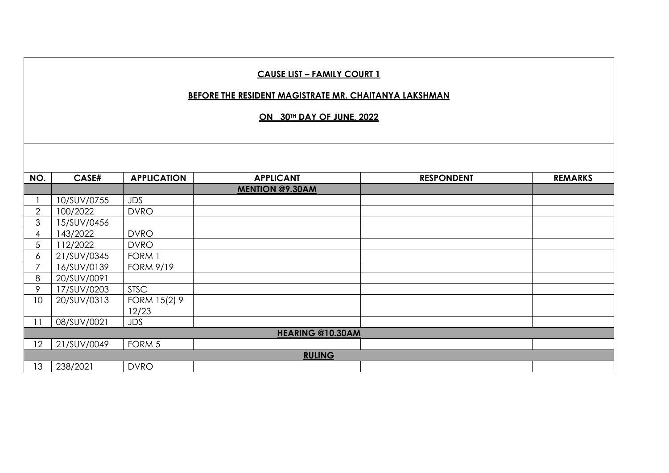#### **BEFORE THE RESIDENT MAGISTRATE MR. CHAITANYA LAKSHMAN**

**ON 30TH DAY OF JUNE, 2022** 

| NO.            | CASE#       | <b>APPLICATION</b> | <b>APPLICANT</b>        | <b>RESPONDENT</b> | <b>REMARKS</b> |
|----------------|-------------|--------------------|-------------------------|-------------------|----------------|
|                |             |                    | <b>MENTION @9.30AM</b>  |                   |                |
|                | 10/SUV/0755 | <b>JDS</b>         |                         |                   |                |
| $\overline{2}$ | 100/2022    | <b>DVRO</b>        |                         |                   |                |
| 3              | 15/SUV/0456 |                    |                         |                   |                |
| 4              | 143/2022    | <b>DVRO</b>        |                         |                   |                |
| 5              | 112/2022    | <b>DVRO</b>        |                         |                   |                |
| 6              | 21/SUV/0345 | FORM 1             |                         |                   |                |
| 7              | 16/SUV/0139 | <b>FORM 9/19</b>   |                         |                   |                |
| 8              | 20/SUV/0091 |                    |                         |                   |                |
| 9              | 17/SUV/0203 | <b>STSC</b>        |                         |                   |                |
| 10             | 20/SUV/0313 | FORM 15(2) 9       |                         |                   |                |
|                |             | 12/23              |                         |                   |                |
| 11             | 08/SUV/0021 | <b>JDS</b>         |                         |                   |                |
|                |             |                    | <b>HEARING @10.30AM</b> |                   |                |
| 12             | 21/SUV/0049 | FORM 5             |                         |                   |                |
|                |             |                    | <b>RULING</b>           |                   |                |
| 13             | 238/2021    | <b>DVRO</b>        |                         |                   |                |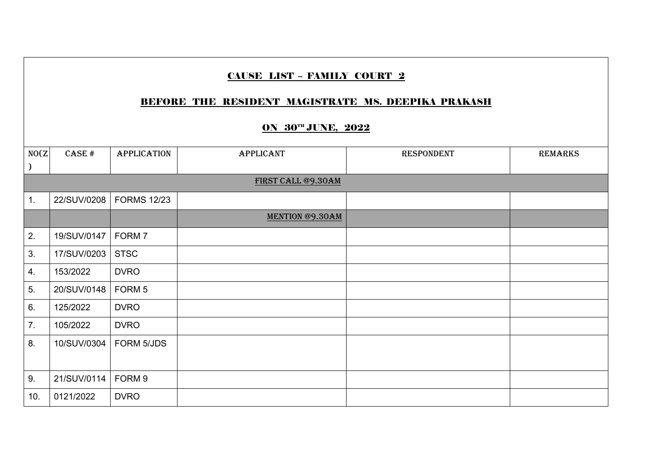|                | <b>CAUSE LIST - FAMILY COURT 2</b><br><b>BEFORE THE RESIDENT MAGISTRATE MS. DEEPIKA PRAKASH</b><br><b>ON 30TH JUNE, 2022</b> |                    |                        |                   |                |  |  |  |
|----------------|------------------------------------------------------------------------------------------------------------------------------|--------------------|------------------------|-------------------|----------------|--|--|--|
| NO(Z)          | CASE #                                                                                                                       | <b>APPLICATION</b> | <b>APPLICANT</b>       | <b>RESPONDENT</b> | <b>REMARKS</b> |  |  |  |
|                |                                                                                                                              |                    |                        |                   |                |  |  |  |
|                |                                                                                                                              |                    | FIRST CALL @9.30AM     |                   |                |  |  |  |
| $\mathbf{1}$ . | 22/SUV/0208                                                                                                                  | <b>FORMS 12/23</b> |                        |                   |                |  |  |  |
|                |                                                                                                                              |                    | <b>MENTION @9.30AM</b> |                   |                |  |  |  |
| 2.             | 19/SUV/0147                                                                                                                  | FORM <sub>7</sub>  |                        |                   |                |  |  |  |
| 3.             | 17/SUV/0203                                                                                                                  | <b>STSC</b>        |                        |                   |                |  |  |  |
| 4.             | 153/2022                                                                                                                     | <b>DVRO</b>        |                        |                   |                |  |  |  |
| 5.             | 20/SUV/0148                                                                                                                  | FORM <sub>5</sub>  |                        |                   |                |  |  |  |
| 6.             | 125/2022                                                                                                                     | <b>DVRO</b>        |                        |                   |                |  |  |  |
| 7.             | 105/2022                                                                                                                     | <b>DVRO</b>        |                        |                   |                |  |  |  |
| 8.             | 10/SUV/0304                                                                                                                  | FORM 5/JDS         |                        |                   |                |  |  |  |
|                |                                                                                                                              |                    |                        |                   |                |  |  |  |
| 9.             | 21/SUV/0114                                                                                                                  | FORM <sub>9</sub>  |                        |                   |                |  |  |  |
| 10.            | 0121/2022                                                                                                                    | <b>DVRO</b>        |                        |                   |                |  |  |  |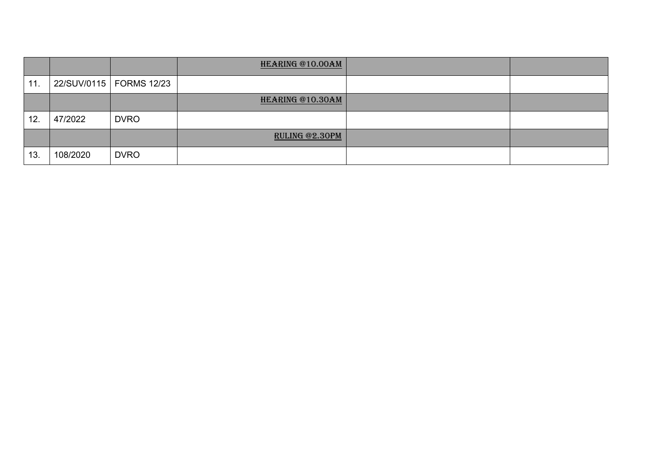|     |          |                           | HEARING @10.00AM      |  |
|-----|----------|---------------------------|-----------------------|--|
| 11. |          | 22/SUV/0115   FORMS 12/23 |                       |  |
|     |          |                           | HEARING @10.30AM      |  |
| 12. | 47/2022  | <b>DVRO</b>               |                       |  |
|     |          |                           | <b>RULING @2.30PM</b> |  |
| 13. | 108/2020 | <b>DVRO</b>               |                       |  |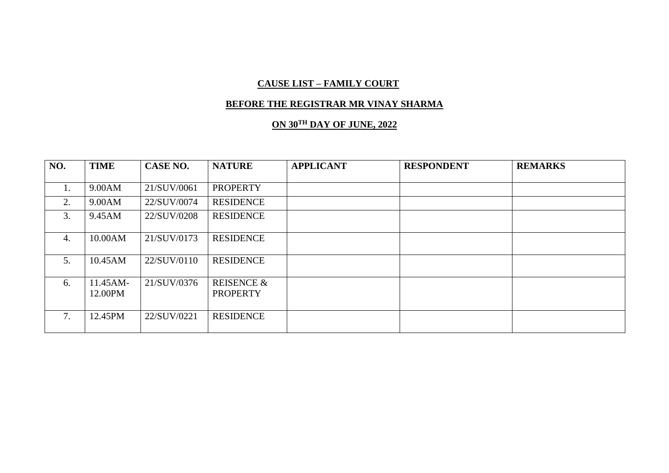#### **BEFORE THE REGISTRAR MR VINAY SHARMA**

# **ON 30TH DAY OF JUNE, 2022**

| NO.            | <b>TIME</b> | CASE NO.    | <b>NATURE</b>         | <b>APPLICANT</b> | <b>RESPONDENT</b> | <b>REMARKS</b> |
|----------------|-------------|-------------|-----------------------|------------------|-------------------|----------------|
|                |             |             |                       |                  |                   |                |
| $\mathbf{I}$ . | 9.00AM      | 21/SUV/0061 | <b>PROPERTY</b>       |                  |                   |                |
| 2.             | 9.00AM      | 22/SUV/0074 | <b>RESIDENCE</b>      |                  |                   |                |
| 3.             | 9.45AM      | 22/SUV/0208 | <b>RESIDENCE</b>      |                  |                   |                |
| 4.             | 10.00AM     | 21/SUV/0173 | <b>RESIDENCE</b>      |                  |                   |                |
| 5.             | 10.45AM     | 22/SUV/0110 | <b>RESIDENCE</b>      |                  |                   |                |
| 6.             | 11.45AM-    | 21/SUV/0376 | <b>REISENCE &amp;</b> |                  |                   |                |
|                | 12.00PM     |             | <b>PROPERTY</b>       |                  |                   |                |
| 7.             | 12.45PM     | 22/SUV/0221 | <b>RESIDENCE</b>      |                  |                   |                |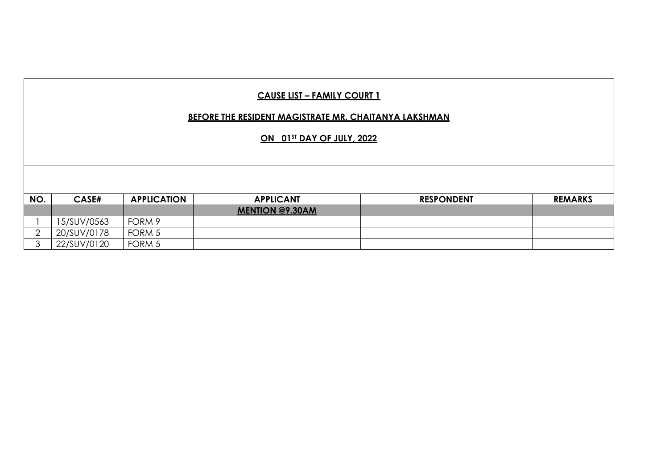| <b>CAUSE LIST - FAMILY COURT 1</b><br><b>BEFORE THE RESIDENT MAGISTRATE MR. CHAITANYA LAKSHMAN</b> |             |                    |                        |                   |                |  |  |  |  |  |
|----------------------------------------------------------------------------------------------------|-------------|--------------------|------------------------|-------------------|----------------|--|--|--|--|--|
| ON 01ST DAY OF JULY, 2022                                                                          |             |                    |                        |                   |                |  |  |  |  |  |
|                                                                                                    |             |                    |                        |                   |                |  |  |  |  |  |
|                                                                                                    |             |                    |                        |                   |                |  |  |  |  |  |
|                                                                                                    |             |                    |                        |                   |                |  |  |  |  |  |
| NO.                                                                                                | CASE#       | <b>APPLICATION</b> | <b>APPLICANT</b>       | <b>RESPONDENT</b> | <b>REMARKS</b> |  |  |  |  |  |
|                                                                                                    |             |                    | <b>MENTION @9.30AM</b> |                   |                |  |  |  |  |  |
|                                                                                                    | 15/SUV/0563 | FORM 9             |                        |                   |                |  |  |  |  |  |
| $\overline{2}$                                                                                     | 20/SUV/0178 | FORM 5             |                        |                   |                |  |  |  |  |  |
| 3                                                                                                  | 22/SUV/0120 | FORM 5             |                        |                   |                |  |  |  |  |  |